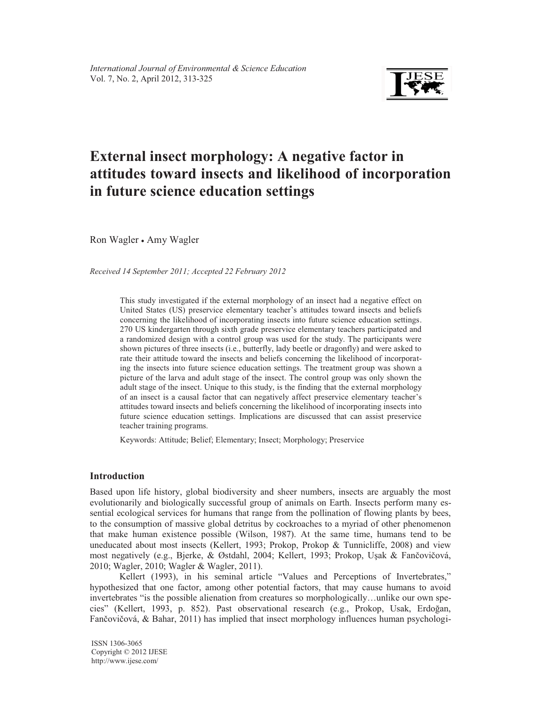

# **External insect morphology: A negative factor in attitudes toward insects and likelihood of incorporation in future science education settings**

Ron Wagler - Amy Wagler

*Received 14 September 2011; Accepted 22 February 2012* 

This study investigated if the external morphology of an insect had a negative effect on United States (US) preservice elementary teacher's attitudes toward insects and beliefs concerning the likelihood of incorporating insects into future science education settings. 270 US kindergarten through sixth grade preservice elementary teachers participated and a randomized design with a control group was used for the study. The participants were shown pictures of three insects (i.e., butterfly, lady beetle or dragonfly) and were asked to rate their attitude toward the insects and beliefs concerning the likelihood of incorporating the insects into future science education settings. The treatment group was shown a picture of the larva and adult stage of the insect. The control group was only shown the adult stage of the insect. Unique to this study, is the finding that the external morphology of an insect is a causal factor that can negatively affect preservice elementary teacher's attitudes toward insects and beliefs concerning the likelihood of incorporating insects into future science education settings. Implications are discussed that can assist preservice teacher training programs.

Keywords: Attitude; Belief; Elementary; Insect; Morphology; Preservice

# **Introduction**

Based upon life history, global biodiversity and sheer numbers, insects are arguably the most evolutionarily and biologically successful group of animals on Earth. Insects perform many essential ecological services for humans that range from the pollination of flowing plants by bees, to the consumption of massive global detritus by cockroaches to a myriad of other phenomenon that make human existence possible (Wilson, 1987). At the same time, humans tend to be uneducated about most insects (Kellert, 1993; Prokop, Prokop & Tunnicliffe, 2008) and view most negatively (e.g., Bjerke, & Østdahl, 2004; Kellert, 1993; Prokop, Uşak & Fančovičová, 2010; Wagler, 2010; Wagler & Wagler, 2011).

Kellert (1993), in his seminal article "Values and Perceptions of Invertebrates," hypothesized that one factor, among other potential factors, that may cause humans to avoid invertebrates "is the possible alienation from creatures so morphologically…unlike our own species" (Kellert, 1993, p. 852). Past observational research (e.g., Prokop, Usak, Erdoğan, Fančovičová, & Bahar, 2011) has implied that insect morphology influences human psychologi-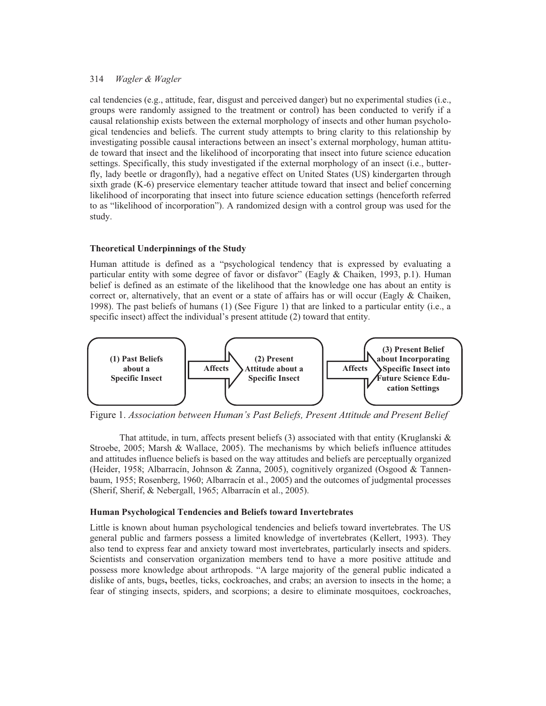cal tendencies (e.g., attitude, fear, disgust and perceived danger) but no experimental studies (i.e., groups were randomly assigned to the treatment or control) has been conducted to verify if a causal relationship exists between the external morphology of insects and other human psychological tendencies and beliefs. The current study attempts to bring clarity to this relationship by investigating possible causal interactions between an insect's external morphology, human attitude toward that insect and the likelihood of incorporating that insect into future science education settings. Specifically, this study investigated if the external morphology of an insect (i.e., butterfly, lady beetle or dragonfly), had a negative effect on United States (US) kindergarten through sixth grade (K-6) preservice elementary teacher attitude toward that insect and belief concerning likelihood of incorporating that insect into future science education settings (henceforth referred to as "likelihood of incorporation"). A randomized design with a control group was used for the study.

#### **Theoretical Underpinnings of the Study**

Human attitude is defined as a "psychological tendency that is expressed by evaluating a particular entity with some degree of favor or disfavor" (Eagly & Chaiken, 1993, p.1). Human belief is defined as an estimate of the likelihood that the knowledge one has about an entity is correct or, alternatively, that an event or a state of affairs has or will occur (Eagly & Chaiken, 1998). The past beliefs of humans (1) (See Figure 1) that are linked to a particular entity (i.e., a specific insect) affect the individual's present attitude (2) toward that entity.



Figure 1. *Association between Human's Past Beliefs, Present Attitude and Present Belief* 

That attitude, in turn, affects present beliefs  $(3)$  associated with that entity (Kruglanski & Stroebe, 2005; Marsh & Wallace, 2005). The mechanisms by which beliefs influence attitudes and attitudes influence beliefs is based on the way attitudes and beliefs are perceptually organized (Heider, 1958; Albarracín, Johnson & Zanna, 2005), cognitively organized (Osgood & Tannenbaum, 1955; Rosenberg, 1960; Albarracín et al., 2005) and the outcomes of judgmental processes (Sherif, Sherif, & Nebergall, 1965; Albarracín et al., 2005).

#### **Human Psychological Tendencies and Beliefs toward Invertebrates**

Little is known about human psychological tendencies and beliefs toward invertebrates. The US general public and farmers possess a limited knowledge of invertebrates (Kellert, 1993). They also tend to express fear and anxiety toward most invertebrates, particularly insects and spiders. Scientists and conservation organization members tend to have a more positive attitude and possess more knowledge about arthropods. "A large majority of the general public indicated a dislike of ants, bugs**,** beetles, ticks, cockroaches, and crabs; an aversion to insects in the home; a fear of stinging insects, spiders, and scorpions; a desire to eliminate mosquitoes, cockroaches,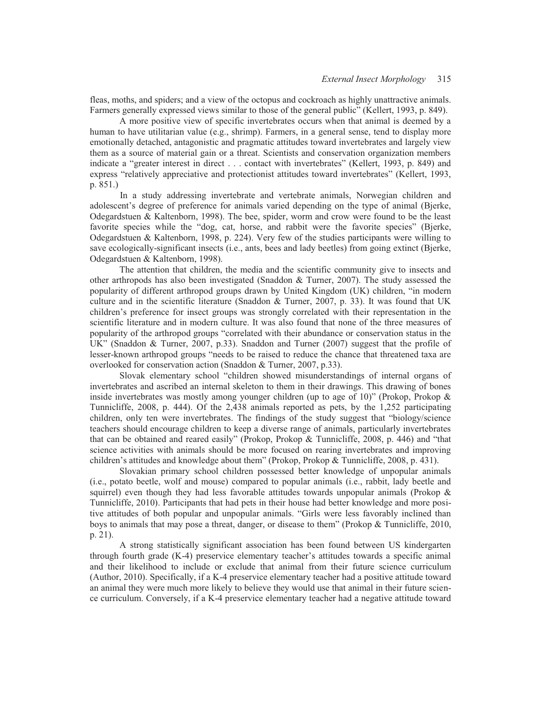fleas, moths, and spiders; and a view of the octopus and cockroach as highly unattractive animals. Farmers generally expressed views similar to those of the general public" (Kellert, 1993, p. 849).

 A more positive view of specific invertebrates occurs when that animal is deemed by a human to have utilitarian value (e.g., shrimp). Farmers, in a general sense, tend to display more emotionally detached, antagonistic and pragmatic attitudes toward invertebrates and largely view them as a source of material gain or a threat. Scientists and conservation organization members indicate a "greater interest in direct . . . contact with invertebrates" (Kellert, 1993, p. 849) and express "relatively appreciative and protectionist attitudes toward invertebrates" (Kellert, 1993, p. 851.)

In a study addressing invertebrate and vertebrate animals, Norwegian children and adolescent's degree of preference for animals varied depending on the type of animal (Bjerke, Odegardstuen & Kaltenborn, 1998). The bee, spider, worm and crow were found to be the least favorite species while the "dog, cat, horse, and rabbit were the favorite species" (Bjerke, Odegardstuen & Kaltenborn, 1998, p. 224). Very few of the studies participants were willing to save ecologically-significant insects (i.e., ants, bees and lady beetles) from going extinct (Bjerke, Odegardstuen & Kaltenborn, 1998).

 The attention that children, the media and the scientific community give to insects and other arthropods has also been investigated (Snaddon & Turner, 2007). The study assessed the popularity of different arthropod groups drawn by United Kingdom (UK) children, "in modern culture and in the scientific literature (Snaddon & Turner, 2007, p. 33). It was found that UK children's preference for insect groups was strongly correlated with their representation in the scientific literature and in modern culture. It was also found that none of the three measures of popularity of the arthropod groups "correlated with their abundance or conservation status in the UK" (Snaddon & Turner, 2007, p.33). Snaddon and Turner (2007) suggest that the profile of lesser-known arthropod groups "needs to be raised to reduce the chance that threatened taxa are overlooked for conservation action (Snaddon & Turner, 2007, p.33).

Slovak elementary school "children showed misunderstandings of internal organs of invertebrates and ascribed an internal skeleton to them in their drawings. This drawing of bones inside invertebrates was mostly among younger children (up to age of 10)" (Prokop, Prokop & Tunnicliffe, 2008, p. 444). Of the 2,438 animals reported as pets, by the 1,252 participating children, only ten were invertebrates. The findings of the study suggest that "biology/science teachers should encourage children to keep a diverse range of animals, particularly invertebrates that can be obtained and reared easily" (Prokop, Prokop & Tunnicliffe, 2008, p. 446) and "that science activities with animals should be more focused on rearing invertebrates and improving children's attitudes and knowledge about them" (Prokop, Prokop & Tunnicliffe, 2008, p. 431).

 Slovakian primary school children possessed better knowledge of unpopular animals (i.e., potato beetle, wolf and mouse) compared to popular animals (i.e., rabbit, lady beetle and squirrel) even though they had less favorable attitudes towards unpopular animals (Prokop  $\&$ Tunnicliffe, 2010). Participants that had pets in their house had better knowledge and more positive attitudes of both popular and unpopular animals. "Girls were less favorably inclined than boys to animals that may pose a threat, danger, or disease to them" (Prokop & Tunnicliffe, 2010, p. 21).

 A strong statistically significant association has been found between US kindergarten through fourth grade (K-4) preservice elementary teacher's attitudes towards a specific animal and their likelihood to include or exclude that animal from their future science curriculum (Author, 2010). Specifically, if a K-4 preservice elementary teacher had a positive attitude toward an animal they were much more likely to believe they would use that animal in their future science curriculum. Conversely, if a K-4 preservice elementary teacher had a negative attitude toward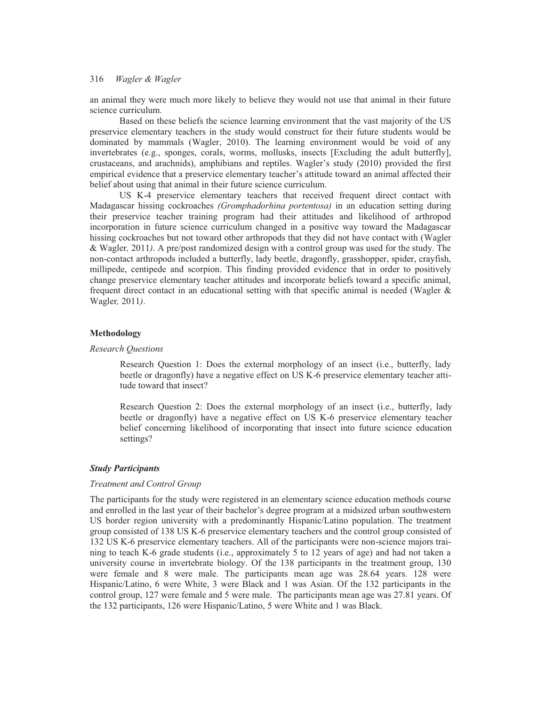an animal they were much more likely to believe they would not use that animal in their future science curriculum.

 Based on these beliefs the science learning environment that the vast majority of the US preservice elementary teachers in the study would construct for their future students would be dominated by mammals (Wagler, 2010). The learning environment would be void of any invertebrates (e.g., sponges, corals, worms, mollusks, insects [Excluding the adult butterfly], crustaceans, and arachnids), amphibians and reptiles. Wagler's study (2010) provided the first empirical evidence that a preservice elementary teacher's attitude toward an animal affected their belief about using that animal in their future science curriculum.

 US K-4 preservice elementary teachers that received frequent direct contact with Madagascar hissing cockroaches *(Gromphadorhina portentosa)* in an education setting during their preservice teacher training program had their attitudes and likelihood of arthropod incorporation in future science curriculum changed in a positive way toward the Madagascar hissing cockroaches but not toward other arthropods that they did not have contact with (Wagler & Wagler*,* 2011*)*. A pre/post randomized design with a control group was used for the study. The non-contact arthropods included a butterfly, lady beetle, dragonfly, grasshopper, spider, crayfish, millipede, centipede and scorpion. This finding provided evidence that in order to positively change preservice elementary teacher attitudes and incorporate beliefs toward a specific animal, frequent direct contact in an educational setting with that specific animal is needed (Wagler  $\&$ Wagler*,* 2011*)*.

#### **Methodology**

#### *Research Questions*

Research Question 1: Does the external morphology of an insect (i.e., butterfly, lady beetle or dragonfly) have a negative effect on US K-6 preservice elementary teacher attitude toward that insect?

Research Question 2: Does the external morphology of an insect (i.e., butterfly, lady beetle or dragonfly) have a negative effect on US K-6 preservice elementary teacher belief concerning likelihood of incorporating that insect into future science education settings?

#### *Study Participants*

#### *Treatment and Control Group*

The participants for the study were registered in an elementary science education methods course and enrolled in the last year of their bachelor's degree program at a midsized urban southwestern US border region university with a predominantly Hispanic/Latino population. The treatment group consisted of 138 US K-6 preservice elementary teachers and the control group consisted of 132 US K-6 preservice elementary teachers. All of the participants were non-science majors training to teach K-6 grade students (i.e., approximately 5 to 12 years of age) and had not taken a university course in invertebrate biology. Of the 138 participants in the treatment group, 130 were female and 8 were male. The participants mean age was 28.64 years. 128 were Hispanic/Latino, 6 were White, 3 were Black and 1 was Asian. Of the 132 participants in the control group, 127 were female and 5 were male. The participants mean age was 27.81 years. Of the 132 participants, 126 were Hispanic/Latino, 5 were White and 1 was Black.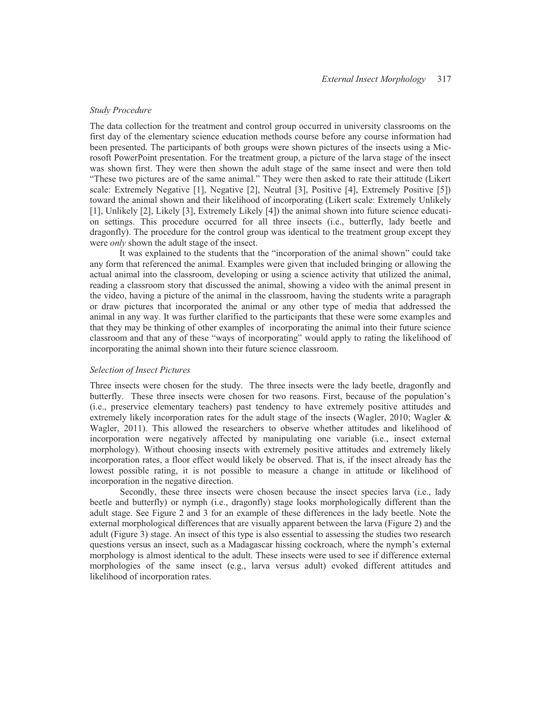#### *Study Procedure*

The data collection for the treatment and control group occurred in university classrooms on the first day of the elementary science education methods course before any course information had been presented. The participants of both groups were shown pictures of the insects using a Microsoft PowerPoint presentation. For the treatment group, a picture of the larva stage of the insect was shown first. They were then shown the adult stage of the same insect and were then told "These two pictures are of the same animal." They were then asked to rate their attitude (Likert scale: Extremely Negative [1], Negative [2], Neutral [3], Positive [4], Extremely Positive [5]) toward the animal shown and their likelihood of incorporating (Likert scale: Extremely Unlikely [1], Unlikely [2], Likely [3], Extremely Likely [4]) the animal shown into future science education settings. This procedure occurred for all three insects (i.e., butterfly, lady beetle and dragonfly). The procedure for the control group was identical to the treatment group except they were *only* shown the adult stage of the insect.

It was explained to the students that the "incorporation of the animal shown" could take any form that referenced the animal. Examples were given that included bringing or allowing the actual animal into the classroom, developing or using a science activity that utilized the animal, reading a classroom story that discussed the animal, showing a video with the animal present in the video, having a picture of the animal in the classroom, having the students write a paragraph or draw pictures that incorporated the animal or any other type of media that addressed the animal in any way. It was further clarified to the participants that these were some examples and that they may be thinking of other examples of incorporating the animal into their future science classroom and that any of these "ways of incorporating" would apply to rating the likelihood of incorporating the animal shown into their future science classroom.

#### *Selection of Insect Pictures*

Three insects were chosen for the study. The three insects were the lady beetle, dragonfly and butterfly. These three insects were chosen for two reasons. First, because of the population's (i.e., preservice elementary teachers) past tendency to have extremely positive attitudes and extremely likely incorporation rates for the adult stage of the insects (Wagler, 2010; Wagler & Wagler, 2011). This allowed the researchers to observe whether attitudes and likelihood of incorporation were negatively affected by manipulating one variable (i.e., insect external morphology). Without choosing insects with extremely positive attitudes and extremely likely incorporation rates, a floor effect would likely be observed. That is, if the insect already has the lowest possible rating, it is not possible to measure a change in attitude or likelihood of incorporation in the negative direction.

Secondly, these three insects were chosen because the insect species larva (i.e., lady beetle and butterfly) or nymph (i.e., dragonfly) stage looks morphologically different than the adult stage. See Figure 2 and 3 for an example of these differences in the lady beetle. Note the external morphological differences that are visually apparent between the larva (Figure 2) and the adult (Figure 3) stage. An insect of this type is also essential to assessing the studies two research questions versus an insect, such as a Madagascar hissing cockroach, where the nymph's external morphology is almost identical to the adult. These insects were used to see if difference external morphologies of the same insect (e.g., larva versus adult) evoked different attitudes and likelihood of incorporation rates.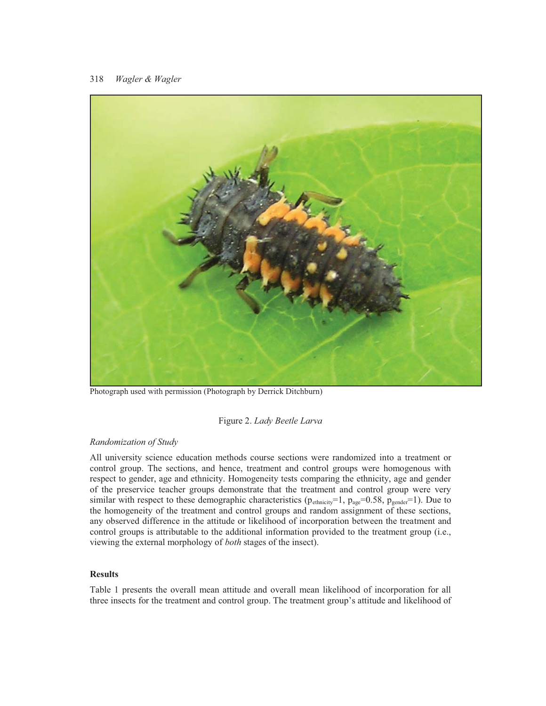

Photograph used with permission (Photograph by Derrick Ditchburn)

#### Figure 2. *Lady Beetle Larva*

# *Randomization of Study*

All university science education methods course sections were randomized into a treatment or control group. The sections, and hence, treatment and control groups were homogenous with respect to gender, age and ethnicity. Homogeneity tests comparing the ethnicity, age and gender of the preservice teacher groups demonstrate that the treatment and control group were very similar with respect to these demographic characteristics ( $p_{\text{ethicity}}=1$ ,  $p_{\text{age}}=0.58$ ,  $p_{\text{gender}}=1$ ). Due to the homogeneity of the treatment and control groups and random assignment of these sections, any observed difference in the attitude or likelihood of incorporation between the treatment and control groups is attributable to the additional information provided to the treatment group (i.e., viewing the external morphology of *both* stages of the insect).

#### **Results**

Table 1 presents the overall mean attitude and overall mean likelihood of incorporation for all three insects for the treatment and control group. The treatment group's attitude and likelihood of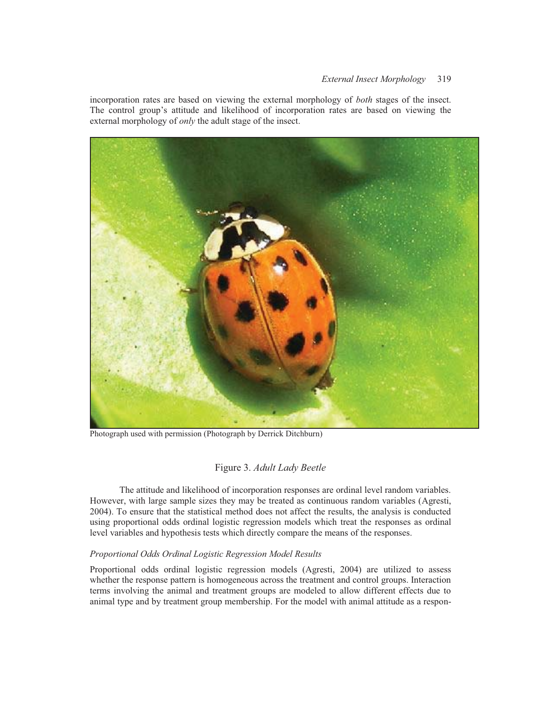incorporation rates are based on viewing the external morphology of *both* stages of the insect. The control group's attitude and likelihood of incorporation rates are based on viewing the external morphology of *only* the adult stage of the insect.



Photograph used with permission (Photograph by Derrick Ditchburn)

# Figure 3. *Adult Lady Beetle*

 The attitude and likelihood of incorporation responses are ordinal level random variables. However, with large sample sizes they may be treated as continuous random variables (Agresti, 2004). To ensure that the statistical method does not affect the results, the analysis is conducted using proportional odds ordinal logistic regression models which treat the responses as ordinal level variables and hypothesis tests which directly compare the means of the responses.

# *Proportional Odds Ordinal Logistic Regression Model Results*

Proportional odds ordinal logistic regression models (Agresti, 2004) are utilized to assess whether the response pattern is homogeneous across the treatment and control groups. Interaction terms involving the animal and treatment groups are modeled to allow different effects due to animal type and by treatment group membership. For the model with animal attitude as a respon-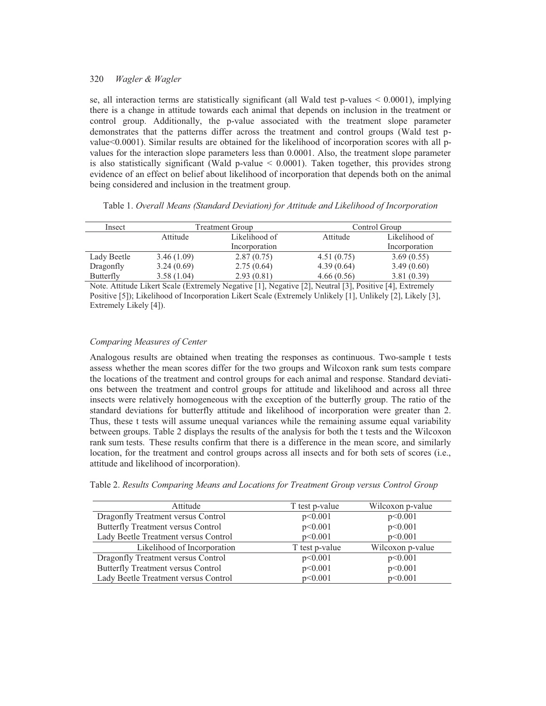se, all interaction terms are statistically significant (all Wald test  $p$ -values  $\leq 0.0001$ ), implying there is a change in attitude towards each animal that depends on inclusion in the treatment or control group. Additionally, the p-value associated with the treatment slope parameter demonstrates that the patterns differ across the treatment and control groups (Wald test pvalue<0.0001). Similar results are obtained for the likelihood of incorporation scores with all pvalues for the interaction slope parameters less than 0.0001. Also, the treatment slope parameter is also statistically significant (Wald  $p$ -value  $\leq$  0.0001). Taken together, this provides strong evidence of an effect on belief about likelihood of incorporation that depends both on the animal being considered and inclusion in the treatment group.

| Insect      | Treatment Group |               | Control Group |               |  |  |
|-------------|-----------------|---------------|---------------|---------------|--|--|
|             | Attitude        | Likelihood of | Attitude      | Likelihood of |  |  |
|             |                 | Incorporation |               | Incorporation |  |  |
| Lady Beetle | 3.46(1.09)      | 2.87(0.75)    | 4.51(0.75)    | 3.69(0.55)    |  |  |
| Dragonfly   | 3.24(0.69)      | 2.75(0.64)    | 4.39(0.64)    | 3.49(0.60)    |  |  |
| Butterfly   | 3.58(1.04)      | 2.93(0.81)    | 4.66(0.56)    | 3.81(0.39)    |  |  |

Table 1. *Overall Means (Standard Deviation) for Attitude and Likelihood of Incorporation* 

Note. Attitude Likert Scale (Extremely Negative [1], Negative [2], Neutral [3], Positive [4], Extremely Positive [5]); Likelihood of Incorporation Likert Scale (Extremely Unlikely [1], Unlikely [2], Likely [3], Extremely Likely [4]).

#### *Comparing Measures of Center*

Analogous results are obtained when treating the responses as continuous. Two-sample t tests assess whether the mean scores differ for the two groups and Wilcoxon rank sum tests compare the locations of the treatment and control groups for each animal and response. Standard deviations between the treatment and control groups for attitude and likelihood and across all three insects were relatively homogeneous with the exception of the butterfly group. The ratio of the standard deviations for butterfly attitude and likelihood of incorporation were greater than 2. Thus, these t tests will assume unequal variances while the remaining assume equal variability between groups. Table 2 displays the results of the analysis for both the t tests and the Wilcoxon rank sum tests. These results confirm that there is a difference in the mean score, and similarly location, for the treatment and control groups across all insects and for both sets of scores (i.e., attitude and likelihood of incorporation).

| Table 2. Results Comparing Means and Locations for Treatment Group versus Control Group |  |  |  |  |  |
|-----------------------------------------------------------------------------------------|--|--|--|--|--|
|                                                                                         |  |  |  |  |  |

| Attitude                             | T test p-value | Wilcoxon p-value |
|--------------------------------------|----------------|------------------|
| Dragonfly Treatment versus Control   | p<0.001        | p<0.001          |
| Butterfly Treatment versus Control   | p<0.001        | p<0.001          |
| Lady Beetle Treatment versus Control | p<0.001        | p<0.001          |
| Likelihood of Incorporation          | T test p-value | Wilcoxon p-value |
| Dragonfly Treatment versus Control   | p<0.001        | p<0.001          |
| Butterfly Treatment versus Control   | p<0.001        | p<0.001          |
| Lady Beetle Treatment versus Control | p<0.001        | p<0.001          |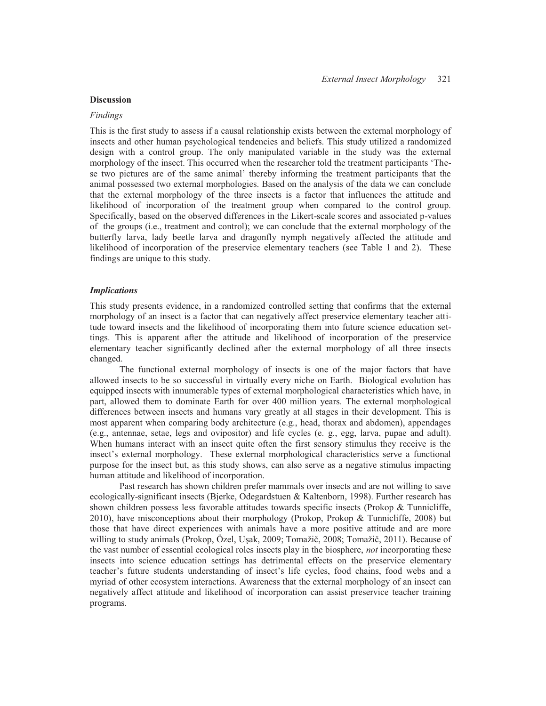#### **Discussion**

#### *Findings*

This is the first study to assess if a causal relationship exists between the external morphology of insects and other human psychological tendencies and beliefs. This study utilized a randomized design with a control group. The only manipulated variable in the study was the external morphology of the insect. This occurred when the researcher told the treatment participants 'These two pictures are of the same animal' thereby informing the treatment participants that the animal possessed two external morphologies. Based on the analysis of the data we can conclude that the external morphology of the three insects is a factor that influences the attitude and likelihood of incorporation of the treatment group when compared to the control group. Specifically, based on the observed differences in the Likert-scale scores and associated p-values of the groups (i.e., treatment and control); we can conclude that the external morphology of the butterfly larva, lady beetle larva and dragonfly nymph negatively affected the attitude and likelihood of incorporation of the preservice elementary teachers (see Table 1 and 2).These findings are unique to this study.

#### *Implications*

This study presents evidence, in a randomized controlled setting that confirms that the external morphology of an insect is a factor that can negatively affect preservice elementary teacher attitude toward insects and the likelihood of incorporating them into future science education settings. This is apparent after the attitude and likelihood of incorporation of the preservice elementary teacher significantly declined after the external morphology of all three insects changed.

 The functional external morphology of insects is one of the major factors that have allowed insects to be so successful in virtually every niche on Earth. Biological evolution has equipped insects with innumerable types of external morphological characteristics which have, in part, allowed them to dominate Earth for over 400 million years. The external morphological differences between insects and humans vary greatly at all stages in their development. This is most apparent when comparing body architecture (e.g., head, thorax and abdomen), appendages (e.g., antennae, setae, legs and ovipositor) and life cycles (e. g., egg, larva, pupae and adult). When humans interact with an insect quite often the first sensory stimulus they receive is the insect's external morphology. These external morphological characteristics serve a functional purpose for the insect but, as this study shows, can also serve as a negative stimulus impacting human attitude and likelihood of incorporation.

 Past research has shown children prefer mammals over insects and are not willing to save ecologically-significant insects (Bjerke, Odegardstuen & Kaltenborn, 1998). Further research has shown children possess less favorable attitudes towards specific insects (Prokop & Tunnicliffe, 2010), have misconceptions about their morphology (Prokop, Prokop & Tunnicliffe, 2008) but those that have direct experiences with animals have a more positive attitude and are more willing to study animals (Prokop, Özel, Uşak, 2009; Tomažič, 2008; Tomažič, 2011). Because of the vast number of essential ecological roles insects play in the biosphere, *not* incorporating these insects into science education settings has detrimental effects on the preservice elementary teacher's future students understanding of insect's life cycles, food chains, food webs and a myriad of other ecosystem interactions. Awareness that the external morphology of an insect can negatively affect attitude and likelihood of incorporation can assist preservice teacher training programs.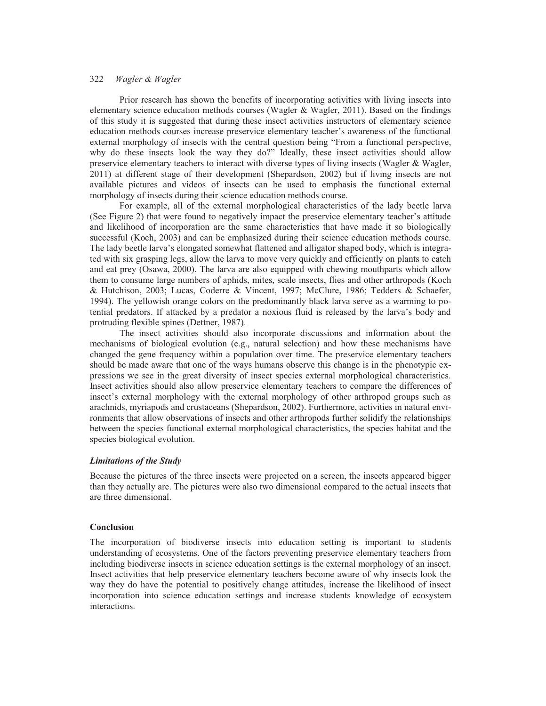Prior research has shown the benefits of incorporating activities with living insects into elementary science education methods courses (Wagler & Wagler, 2011). Based on the findings of this study it is suggested that during these insect activities instructors of elementary science education methods courses increase preservice elementary teacher's awareness of the functional external morphology of insects with the central question being "From a functional perspective, why do these insects look the way they do?" Ideally, these insect activities should allow preservice elementary teachers to interact with diverse types of living insects (Wagler & Wagler, 2011) at different stage of their development (Shepardson, 2002) but if living insects are not available pictures and videos of insects can be used to emphasis the functional external morphology of insects during their science education methods course.

 For example, all of the external morphological characteristics of the lady beetle larva (See Figure 2) that were found to negatively impact the preservice elementary teacher's attitude and likelihood of incorporation are the same characteristics that have made it so biologically successful (Koch, 2003) and can be emphasized during their science education methods course. The lady beetle larva's elongated somewhat flattened and alligator shaped body, which is integrated with six grasping legs, allow the larva to move very quickly and efficiently on plants to catch and eat prey (Osawa, 2000). The larva are also equipped with chewing mouthparts which allow them to consume large numbers of aphids, mites, scale insects, flies and other arthropods (Koch & Hutchison, 2003; Lucas, Coderre & Vincent, 1997; McClure, 1986; Tedders & Schaefer, 1994). The yellowish orange colors on the predominantly black larva serve as a warming to potential predators. If attacked by a predator a noxious fluid is released by the larva's body and protruding flexible spines (Dettner, 1987).

 The insect activities should also incorporate discussions and information about the mechanisms of biological evolution (e.g., natural selection) and how these mechanisms have changed the gene frequency within a population over time. The preservice elementary teachers should be made aware that one of the ways humans observe this change is in the phenotypic expressions we see in the great diversity of insect species external morphological characteristics. Insect activities should also allow preservice elementary teachers to compare the differences of insect's external morphology with the external morphology of other arthropod groups such as arachnids, myriapods and crustaceans (Shepardson, 2002). Furthermore, activities in natural environments that allow observations of insects and other arthropods further solidify the relationships between the species functional external morphological characteristics, the species habitat and the species biological evolution.

## *Limitations of the Study*

Because the pictures of the three insects were projected on a screen, the insects appeared bigger than they actually are. The pictures were also two dimensional compared to the actual insects that are three dimensional.

#### **Conclusion**

The incorporation of biodiverse insects into education setting is important to students understanding of ecosystems. One of the factors preventing preservice elementary teachers from including biodiverse insects in science education settings is the external morphology of an insect. Insect activities that help preservice elementary teachers become aware of why insects look the way they do have the potential to positively change attitudes, increase the likelihood of insect incorporation into science education settings and increase students knowledge of ecosystem interactions.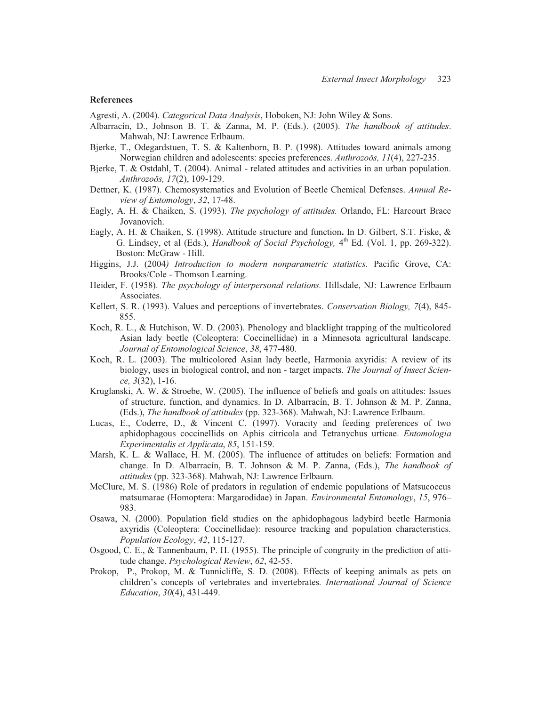#### **References**

Agresti, A. (2004). *Categorical Data Analysis*, Hoboken, NJ: John Wiley & Sons.

- Albarracín, D., Johnson B. T. & Zanna, M. P. (Eds.). (2005). *The handbook of attitudes*. Mahwah, NJ: Lawrence Erlbaum.
- Bjerke, T., Odegardstuen, T. S. & Kaltenborn, B. P. (1998). Attitudes toward animals among Norwegian children and adolescents: species preferences. *Anthrozoös, 11*(4), 227-235.
- Bjerke, T. & Ostdahl, T. (2004). Animal related attitudes and activities in an urban population. *Anthrozoös, 17*(2), 109-129.
- Dettner, K. (1987). Chemosystematics and Evolution of Beetle Chemical Defenses. *Annual Review of Entomology*, *32*, 17-48.
- Eagly, A. H. & Chaiken, S. (1993). *The psychology of attitudes.* Orlando, FL: Harcourt Brace Jovanovich.
- Eagly, A. H. & Chaiken, S. (1998). Attitude structure and function**.** In D. Gilbert, S.T. Fiske, & G. Lindsey, et al (Eds.), *Handbook of Social Psychology*,  $4<sup>th</sup>$  Ed. (Vol. 1, pp. 269-322). Boston: McGraw - Hill.
- Higgins, J.J. (2004*) Introduction to modern nonparametric statistics.* Pacific Grove, CA: Brooks/Cole - Thomson Learning.
- Heider, F. (1958). *The psychology of interpersonal relations.* Hillsdale, NJ: Lawrence Erlbaum Associates.
- Kellert, S. R. (1993). Values and perceptions of invertebrates. *Conservation Biology, 7*(4), 845- 855.
- Koch, R. L., & Hutchison, W. D. (2003). Phenology and blacklight trapping of the multicolored Asian lady beetle (Coleoptera: Coccinellidae) in a Minnesota agricultural landscape. *Journal of Entomological Science*, *38*, 477-480.
- Koch, R. L. (2003). The multicolored Asian lady beetle, Harmonia axyridis: A review of its biology, uses in biological control, and non - target impacts. *The Journal of Insect Science, 3*(32), 1-16.
- Kruglanski, A. W. & Stroebe, W. (2005). The influence of beliefs and goals on attitudes: Issues of structure, function, and dynamics. In D. Albarracín, B. T. Johnson & M. P. Zanna, (Eds.), *The handbook of attitudes* (pp. 323-368). Mahwah, NJ: Lawrence Erlbaum.
- Lucas, E., Coderre, D., & Vincent C. (1997). Voracity and feeding preferences of two aphidophagous coccinellids on Aphis citricola and Tetranychus urticae. *Entomologia Experimentalis et Applicata*, *85*, 151-159.
- Marsh, K. L. & Wallace, H. M. (2005). The influence of attitudes on beliefs: Formation and change. In D. Albarracín, B. T. Johnson & M. P. Zanna, (Eds.), *The handbook of attitudes* (pp. 323-368). Mahwah, NJ: Lawrence Erlbaum.
- McClure, M. S. (1986) Role of predators in regulation of endemic populations of Matsucoccus matsumarae (Homoptera: Margarodidae) in Japan. *Environmental Entomology*, *15*, 976– 983.
- Osawa, N. (2000). Population field studies on the aphidophagous ladybird beetle Harmonia axyridis (Coleoptera: Coccinellidae): resource tracking and population characteristics. *Population Ecology*, *42*, 115-127.
- Osgood, C. E., & Tannenbaum, P. H. (1955). The principle of congruity in the prediction of attitude change. *Psychological Review*, *62*, 42-55.
- Prokop, P., Prokop, M. & Tunnicliffe, S. D. (2008). Effects of keeping animals as pets on children's concepts of vertebrates and invertebrates*. International Journal of Science Education*, *30*(4), 431-449.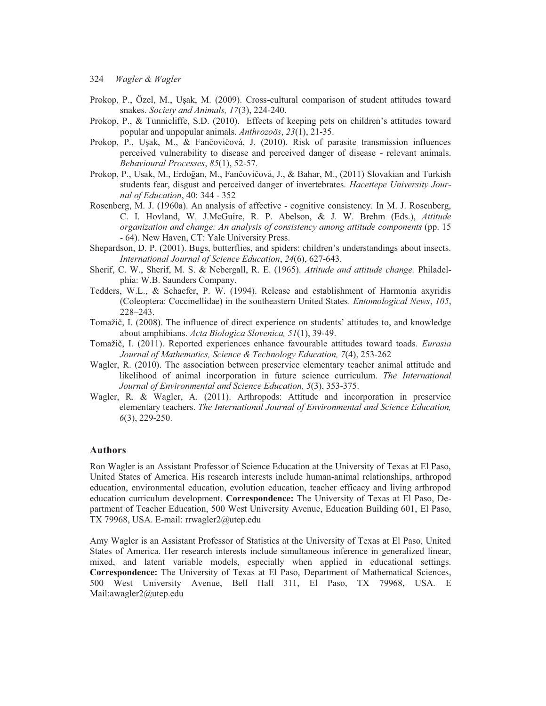- Prokop, P., Özel, M., Uşak, M. (2009). Cross-cultural comparison of student attitudes toward snakes. *Society and Animals, 17*(3), 224-240.
- Prokop, P., & Tunnicliffe, S.D. (2010). Effects of keeping pets on children's attitudes toward popular and unpopular animals. *Anthrozoös*, *23*(1), 21-35.
- Prokop, P., Uşak, M., & Fančovičová, J. (2010). Risk of parasite transmission influences perceived vulnerability to disease and perceived danger of disease - relevant animals. *Behavioural Processes*, *85*(1), 52-57.
- Prokop, P., Usak, M., Erdoğan, M., Fančovičová, J., & Bahar, M., (2011) Slovakian and Turkish students fear, disgust and perceived danger of invertebrates. *Hacettepe University Journal of Education*, 40: 344 - 352
- Rosenberg, M. J. (1960a). An analysis of affective cognitive consistency. In M. J. Rosenberg, C. I. Hovland, W. J.McGuire, R. P. Abelson, & J. W. Brehm (Eds.), *Attitude organization and change: An analysis of consistency among attitude components* (pp. 15 - 64). New Haven, CT: Yale University Press.
- Shepardson, D. P. (2001). Bugs, butterflies, and spiders: children's understandings about insects. *International Journal of Science Education*, *24*(6), 627-643.
- Sherif, C. W., Sherif, M. S. & Nebergall, R. E. (1965). *Attitude and attitude change.* Philadelphia: W.B. Saunders Company.
- Tedders, W.L., & Schaefer, P. W. (1994). Release and establishment of Harmonia axyridis (Coleoptera: Coccinellidae) in the southeastern United States*. Entomological News*, *105*, 228–243.
- Tomažič, I. (2008). The influence of direct experience on students' attitudes to, and knowledge about amphibians. *Acta Biologica Slovenica, 51*(1), 39-49.
- Tomažič, I. (2011). Reported experiences enhance favourable attitudes toward toads. *Eurasia Journal of Mathematics, Science & Technology Education, 7*(4), 253-262
- Wagler, R. (2010). The association between preservice elementary teacher animal attitude and likelihood of animal incorporation in future science curriculum. *The International Journal of Environmental and Science Education, 5*(3), 353-375.
- Wagler, R. & Wagler, A. (2011). Arthropods: Attitude and incorporation in preservice elementary teachers. *The International Journal of Environmental and Science Education, 6*(3), 229-250.

## **Authors**

Ron Wagler is an Assistant Professor of Science Education at the University of Texas at El Paso, United States of America. His research interests include human-animal relationships, arthropod education, environmental education, evolution education, teacher efficacy and living arthropod education curriculum development. **Correspondence:** The University of Texas at El Paso, Department of Teacher Education, 500 West University Avenue, Education Building 601, El Paso, TX 79968, USA. E-mail: rrwagler2@utep.edu

Amy Wagler is an Assistant Professor of Statistics at the University of Texas at El Paso, United States of America. Her research interests include simultaneous inference in generalized linear, mixed, and latent variable models, especially when applied in educational settings. **Correspondence:** The University of Texas at El Paso, Department of Mathematical Sciences, 500 West University Avenue, Bell Hall 311, El Paso, TX 79968, USA. E Mail:awagler2@utep.edu